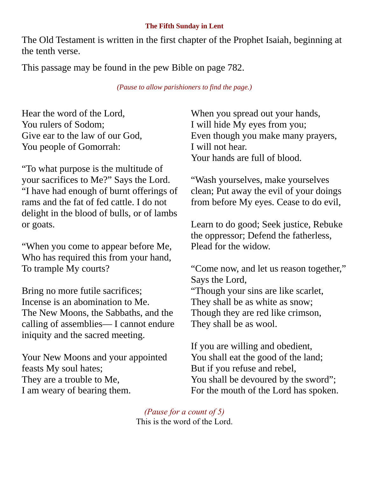## **The Fifth Sunday in Lent**

The Old Testament is written in the first chapter of the Prophet Isaiah, beginning at the tenth verse.

This passage may be found in the pew Bible on page 782.

*(Pause to allow parishioners to find the page.)*

Hear the word of the Lord, You rulers of Sodom; Give ear to the law of our God, You people of Gomorrah:

"To what purpose is the multitude of your sacrifices to Me?" Says the Lord. "I have had enough of burnt offerings of rams and the fat of fed cattle. I do not delight in the blood of bulls, or of lambs or goats.

"When you come to appear before Me, Who has required this from your hand, To trample My courts?

Bring no more futile sacrifices; Incense is an abomination to Me. The New Moons, the Sabbaths, and the calling of assemblies— I cannot endure iniquity and the sacred meeting.

Your New Moons and your appointed feasts My soul hates; They are a trouble to Me, I am weary of bearing them.

When you spread out your hands, I will hide My eyes from you; Even though you make many prayers, I will not hear. Your hands are full of blood.

"Wash yourselves, make yourselves clean; Put away the evil of your doings from before My eyes. Cease to do evil,

Learn to do good; Seek justice, Rebuke the oppressor; Defend the fatherless, Plead for the widow.

"Come now, and let us reason together," Says the Lord, "Though your sins are like scarlet, They shall be as white as snow; Though they are red like crimson, They shall be as wool.

If you are willing and obedient, You shall eat the good of the land; But if you refuse and rebel, You shall be devoured by the sword"; For the mouth of the Lord has spoken.

*(Pause for a count of 5)* This is the word of the Lord.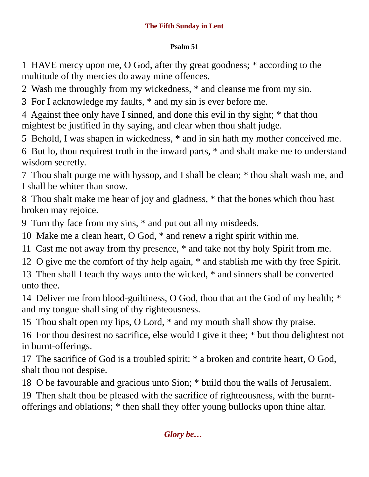## **The Fifth Sunday in Lent**

## **Psalm 51**

1 HAVE mercy upon me, O God, after thy great goodness; \* according to the multitude of thy mercies do away mine offences.

2 Wash me throughly from my wickedness, \* and cleanse me from my sin.

3 For I acknowledge my faults, \* and my sin is ever before me.

4 Against thee only have I sinned, and done this evil in thy sight; \* that thou mightest be justified in thy saying, and clear when thou shalt judge.

5 Behold, I was shapen in wickedness, \* and in sin hath my mother conceived me.

6 But lo, thou requirest truth in the inward parts, \* and shalt make me to understand wisdom secretly.

7 Thou shalt purge me with hyssop, and I shall be clean; \* thou shalt wash me, and I shall be whiter than snow.

8 Thou shalt make me hear of joy and gladness, \* that the bones which thou hast broken may rejoice.

9 Turn thy face from my sins, \* and put out all my misdeeds.

10 Make me a clean heart, O God, \* and renew a right spirit within me.

11 Cast me not away from thy presence, \* and take not thy holy Spirit from me.

12 O give me the comfort of thy help again, \* and stablish me with thy free Spirit.

13 Then shall I teach thy ways unto the wicked, \* and sinners shall be converted unto thee.

14 Deliver me from blood-guiltiness, O God, thou that art the God of my health; \* and my tongue shall sing of thy righteousness.

15 Thou shalt open my lips, O Lord, \* and my mouth shall show thy praise.

16 For thou desirest no sacrifice, else would I give it thee; \* but thou delightest not in burnt-offerings.

17 The sacrifice of God is a troubled spirit: \* a broken and contrite heart, O God, shalt thou not despise.

18 O be favourable and gracious unto Sion; \* build thou the walls of Jerusalem.

19 Then shalt thou be pleased with the sacrifice of righteousness, with the burntofferings and oblations; \* then shall they offer young bullocks upon thine altar.